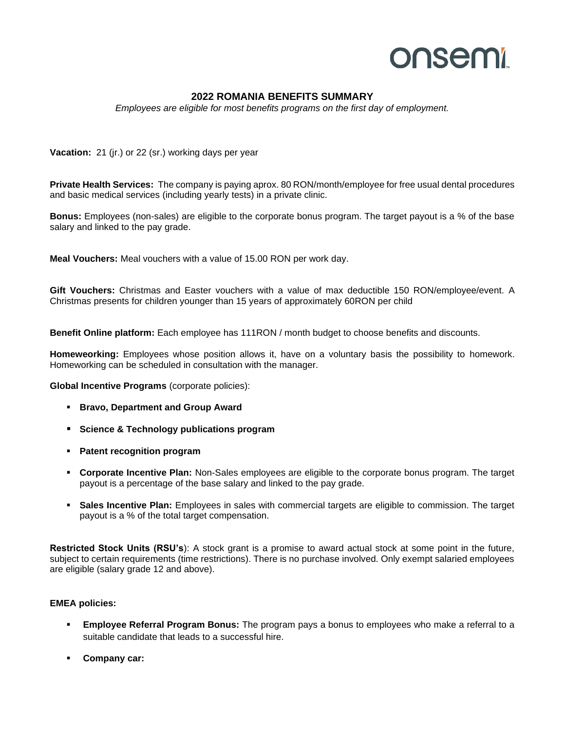## onsemi

## **2022 ROMANIA BENEFITS SUMMARY**

*Employees are eligible for most benefits programs on the first day of employment.*

**Vacation:** 21 (jr.) or 22 (sr.) working days per year

**Private Health Services:** The company is paying aprox. 80 RON/month/employee for free usual dental procedures and basic medical services (including yearly tests) in a private clinic.

**Bonus:** Employees (non-sales) are eligible to the corporate bonus program. The target payout is a % of the base salary and linked to the pay grade.

**Meal Vouchers:** Meal vouchers with a value of 15.00 RON per work day.

**Gift Vouchers:** Christmas and Easter vouchers with a value of max deductible 150 RON/employee/event. A Christmas presents for children younger than 15 years of approximately 60RON per child

**Benefit Online platform:** Each employee has 111RON / month budget to choose benefits and discounts.

**Homeweorking:** Employees whose position allows it, have on a voluntary basis the possibility to homework. Homeworking can be scheduled in consultation with the manager.

**Global Incentive Programs** (corporate policies):

- **Bravo, Department and Group Award**
- **Science & Technology publications program**
- **Patent recognition program**
- **Corporate Incentive Plan:** Non-Sales employees are eligible to the corporate bonus program. The target payout is a percentage of the base salary and linked to the pay grade.
- **Sales Incentive Plan:** Employees in sales with commercial targets are eligible to commission. The target payout is a % of the total target compensation.

**Restricted Stock Units (RSU's**): A stock grant is a promise to award actual stock at some point in the future, subject to certain requirements (time restrictions). There is no purchase involved. Only exempt salaried employees are eligible (salary grade 12 and above).

## **EMEA policies:**

- Employee Referral Program Bonus: The program pays a bonus to employees who make a referral to a suitable candidate that leads to a successful hire.
- **Company car:**